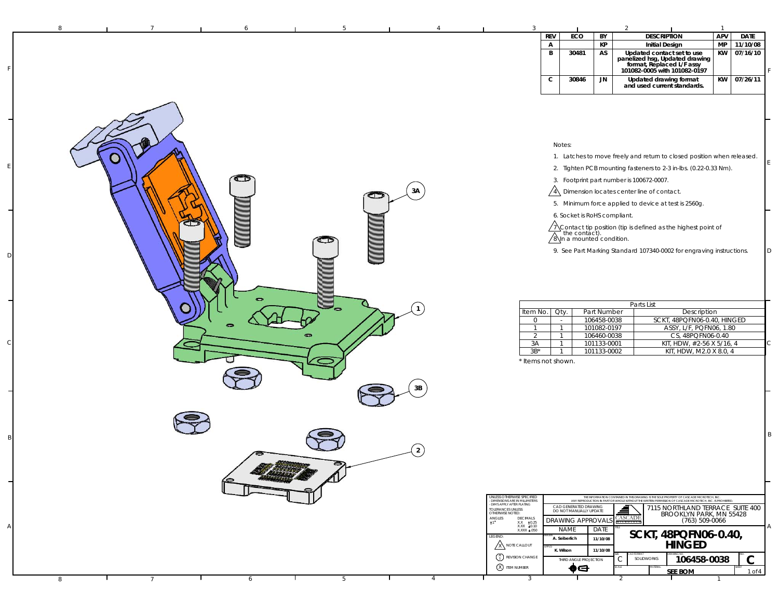| 8 | 6                      | 5 |                            |                                                                                                                                                                                                                        |                                                                                              |                                                                                 |                                                                                        |                                                                                                                                                                                                                                                                                                                                                                                                                                                                                                                                                                                                                                                                                                                                                                                                                                                                                                                                                                | $\overline{1}$ |             |
|---|------------------------|---|----------------------------|------------------------------------------------------------------------------------------------------------------------------------------------------------------------------------------------------------------------|----------------------------------------------------------------------------------------------|---------------------------------------------------------------------------------|----------------------------------------------------------------------------------------|----------------------------------------------------------------------------------------------------------------------------------------------------------------------------------------------------------------------------------------------------------------------------------------------------------------------------------------------------------------------------------------------------------------------------------------------------------------------------------------------------------------------------------------------------------------------------------------------------------------------------------------------------------------------------------------------------------------------------------------------------------------------------------------------------------------------------------------------------------------------------------------------------------------------------------------------------------------|----------------|-------------|
|   |                        |   |                            |                                                                                                                                                                                                                        | <b>REV</b>                                                                                   | ECO                                                                             | BY                                                                                     | <b>DESCRIPTION</b>                                                                                                                                                                                                                                                                                                                                                                                                                                                                                                                                                                                                                                                                                                                                                                                                                                                                                                                                             | APV            | <b>DATE</b> |
|   |                        |   |                            |                                                                                                                                                                                                                        | $\mathsf{A}$                                                                                 |                                                                                 | КP                                                                                     | <b>Initial Design</b>                                                                                                                                                                                                                                                                                                                                                                                                                                                                                                                                                                                                                                                                                                                                                                                                                                                                                                                                          | <b>MP</b>      | 11/10/08    |
|   |                        |   |                            |                                                                                                                                                                                                                        | B                                                                                            | 30481                                                                           | AS                                                                                     | Updated contact set to use<br>panelized hsg, Updated drawing<br>format, Replaced L/F assy<br>101082-0005 with 101082-0197                                                                                                                                                                                                                                                                                                                                                                                                                                                                                                                                                                                                                                                                                                                                                                                                                                      | KW             | 07/16/10    |
|   |                        |   |                            |                                                                                                                                                                                                                        | $\mathbf c$                                                                                  | 30846                                                                           | JN                                                                                     | Updated drawing format<br>and used current standards.                                                                                                                                                                                                                                                                                                                                                                                                                                                                                                                                                                                                                                                                                                                                                                                                                                                                                                          | <b>KW</b>      | 07/26/11    |
|   | $\mathbb{C}$<br>$\sim$ | ⊂ | 3A<br>3B<br>$\overline{2}$ | Item No.<br>0<br>-1<br>2<br>3A<br>$3B^*$<br>* Items not shown.<br>UNLESS OTHERWISE SPECIFIED<br><b>DIMENSIONS ARE IN MILLIMETERS</b><br>- DIMS APPLY AFTER PLATING<br>TOLERANCES UNLESS<br>OTHERWISE NOTED:            | Notes:<br>Oty.<br>$\sim$<br>$\mathbf{1}$<br>$\overline{1}$<br>$\mathbf{1}$<br>$\overline{1}$ | 6. Socket is RoHS compliant.<br>CAD GENERATED DRAWING<br>DO NOT MANUALLY UPDATE | Part Number<br>106458-0038<br>101082-0197<br>106460-0038<br>101133-0001<br>101133-0002 | 1. Latches to move freely and return to closed position when released.<br>2. Tighten PCB mounting fasteners to 2-3 in-lbs. (0.22-0.33 Nm).<br>3. Footprint part number is 100672-0007.<br>$\sqrt{4}$ Dimension locates center line of contact.<br>5. Minimum force applied to device at test is 2560g.<br>$\sqrt{\frac{1}{2}}$ Contact tip position (tip is defined as the highest point of $\sqrt{\frac{8}{n}}$ a mounted condition.<br>9. See Part Marking Standard 107340-0002 for engraving instructions.<br>Parts List<br>Description<br>SCKT, 48PQFN06-0.40, HINGED<br>ASSY, L/F, PQFN06, 1.80<br>CS, 48PQFN06-0.40<br>KIT, HDW, #2-56 X 5/16, 4<br>KIT, HDW, M2.0 X 8.0, 4<br>THE INFORMATION CONTAINED IN THIS DRAWING IS THE SOLE PROPERTY OF CASCADE MICROTECH, INC.<br>ANY REPRODUCTION IN PART OR WHOLE WITHOUT THE WRITEN PERMISSION OF CASCADE MICROTECH, INC. IS PROHIBITED<br>7115 NORTHLAND TERRACE SUITE 400<br>▟<br>BROOKLYN PARK, MN 55428 |                |             |
|   |                        |   |                            | $\mathop{\hbox{ANGLES}}_{\pm 1}$<br>DECIMALS<br>$\begin{array}{cc} \text{XXX} & \pm 0.25 \\ \text{XXX} & \pm 0.10 \\ \text{XXX} & \pm .050 \end{array}$<br>LEGEND:<br>A NOTE CALLOUT<br>$\binom{A}{1}$ REVISION CHANGE |                                                                                              | <b>DRAWING APPROVAL!</b><br><b>NAME</b><br>A. Seiberlich<br>K. Wilson           | DATE<br>11/10/08<br>11/10/08                                                           | CASCADE<br><b>MICROTE:</b><br>SCKT, 48PQFN06-0.40,<br><b>HINGED</b>                                                                                                                                                                                                                                                                                                                                                                                                                                                                                                                                                                                                                                                                                                                                                                                                                                                                                            | (763) 509-0066 |             |
|   |                        |   |                            | <b>8</b> ITEM NUMBER                                                                                                                                                                                                   |                                                                                              | THIRD ANGLE PROJECTION<br>$\bullet \ominus$                                     |                                                                                        | 106458-0038<br>C<br>SOLIDWORKS                                                                                                                                                                                                                                                                                                                                                                                                                                                                                                                                                                                                                                                                                                                                                                                                                                                                                                                                 |                | $\mathbf C$ |
|   |                        |   |                            |                                                                                                                                                                                                                        |                                                                                              |                                                                                 |                                                                                        |                                                                                                                                                                                                                                                                                                                                                                                                                                                                                                                                                                                                                                                                                                                                                                                                                                                                                                                                                                |                |             |

F

E

D

C

B

A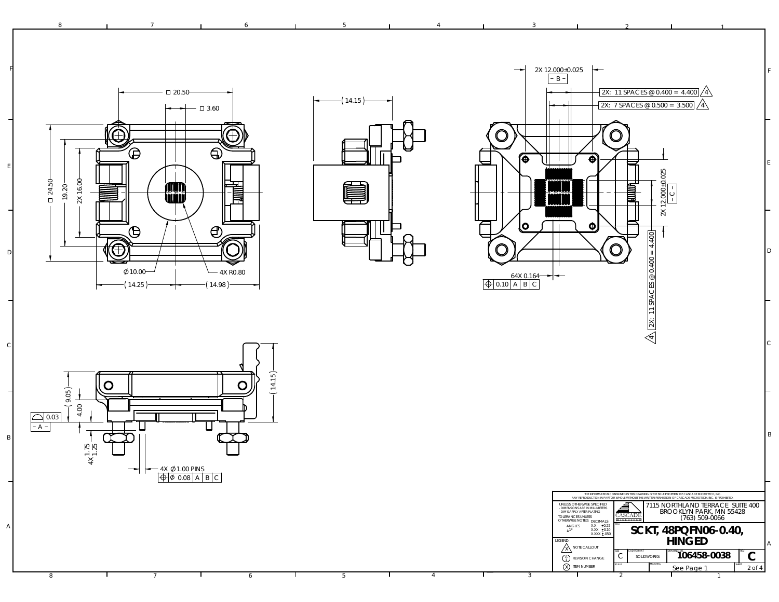

14.98

F

E

D

A

8



8 **1** 7 **1** 6 **1** 5 **1** 4 **1** 3 **1** 2



2

2 1

F

E

D

C

B



14.25

7

6

3



4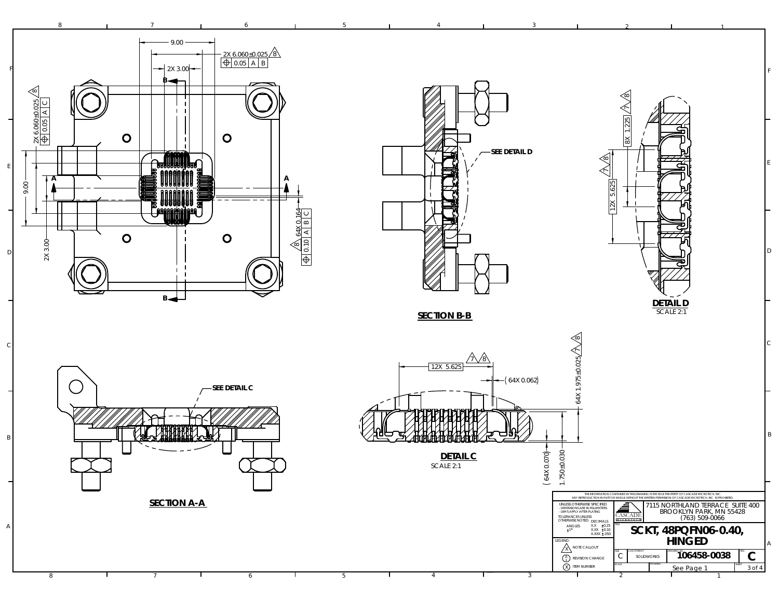